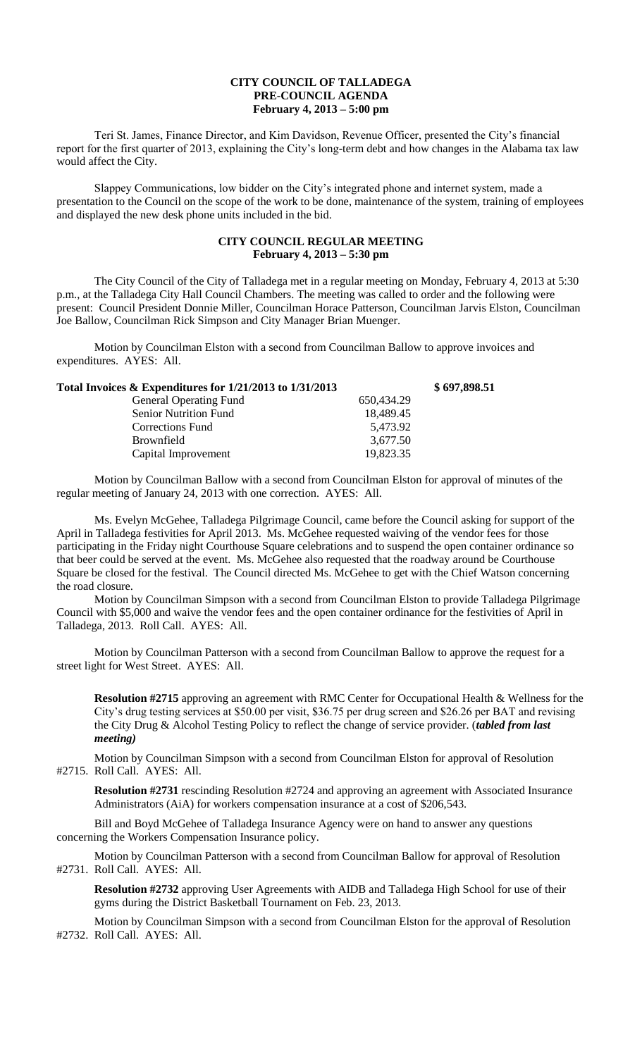## **CITY COUNCIL OF TALLADEGA PRE-COUNCIL AGENDA February 4, 2013 – 5:00 pm**

Teri St. James, Finance Director, and Kim Davidson, Revenue Officer, presented the City's financial report for the first quarter of 2013, explaining the City's long-term debt and how changes in the Alabama tax law would affect the City.

Slappey Communications, low bidder on the City's integrated phone and internet system, made a presentation to the Council on the scope of the work to be done, maintenance of the system, training of employees and displayed the new desk phone units included in the bid.

## **CITY COUNCIL REGULAR MEETING February 4, 2013 – 5:30 pm**

The City Council of the City of Talladega met in a regular meeting on Monday, February 4, 2013 at 5:30 p.m., at the Talladega City Hall Council Chambers. The meeting was called to order and the following were present: Council President Donnie Miller, Councilman Horace Patterson, Councilman Jarvis Elston, Councilman Joe Ballow, Councilman Rick Simpson and City Manager Brian Muenger.

Motion by Councilman Elston with a second from Councilman Ballow to approve invoices and expenditures. AYES: All.

| Total Invoices $\&$ Expenditures for $1/21/2013$ to $1/31/2013$ |            | \$697,898.51 |
|-----------------------------------------------------------------|------------|--------------|
| <b>General Operating Fund</b>                                   | 650.434.29 |              |
| <b>Senior Nutrition Fund</b>                                    | 18,489.45  |              |
| Corrections Fund                                                | 5.473.92   |              |
| <b>Brownfield</b>                                               | 3,677.50   |              |
| Capital Improvement                                             | 19,823.35  |              |

Motion by Councilman Ballow with a second from Councilman Elston for approval of minutes of the regular meeting of January 24, 2013 with one correction. AYES: All.

Ms. Evelyn McGehee, Talladega Pilgrimage Council, came before the Council asking for support of the April in Talladega festivities for April 2013. Ms. McGehee requested waiving of the vendor fees for those participating in the Friday night Courthouse Square celebrations and to suspend the open container ordinance so that beer could be served at the event. Ms. McGehee also requested that the roadway around be Courthouse Square be closed for the festival. The Council directed Ms. McGehee to get with the Chief Watson concerning the road closure.

Motion by Councilman Simpson with a second from Councilman Elston to provide Talladega Pilgrimage Council with \$5,000 and waive the vendor fees and the open container ordinance for the festivities of April in Talladega, 2013. Roll Call. AYES: All.

Motion by Councilman Patterson with a second from Councilman Ballow to approve the request for a street light for West Street. AYES: All.

**Resolution #2715** approving an agreement with RMC Center for Occupational Health & Wellness for the City's drug testing services at \$50.00 per visit, \$36.75 per drug screen and \$26.26 per BAT and revising the City Drug & Alcohol Testing Policy to reflect the change of service provider. (*tabled from last meeting)*

Motion by Councilman Simpson with a second from Councilman Elston for approval of Resolution #2715. Roll Call. AYES: All.

**Resolution #2731** rescinding Resolution #2724 and approving an agreement with Associated Insurance Administrators (AiA) for workers compensation insurance at a cost of \$206,543.

Bill and Boyd McGehee of Talladega Insurance Agency were on hand to answer any questions concerning the Workers Compensation Insurance policy.

Motion by Councilman Patterson with a second from Councilman Ballow for approval of Resolution #2731. Roll Call. AYES: All.

**Resolution #2732** approving User Agreements with AIDB and Talladega High School for use of their gyms during the District Basketball Tournament on Feb. 23, 2013.

Motion by Councilman Simpson with a second from Councilman Elston for the approval of Resolution #2732. Roll Call. AYES: All.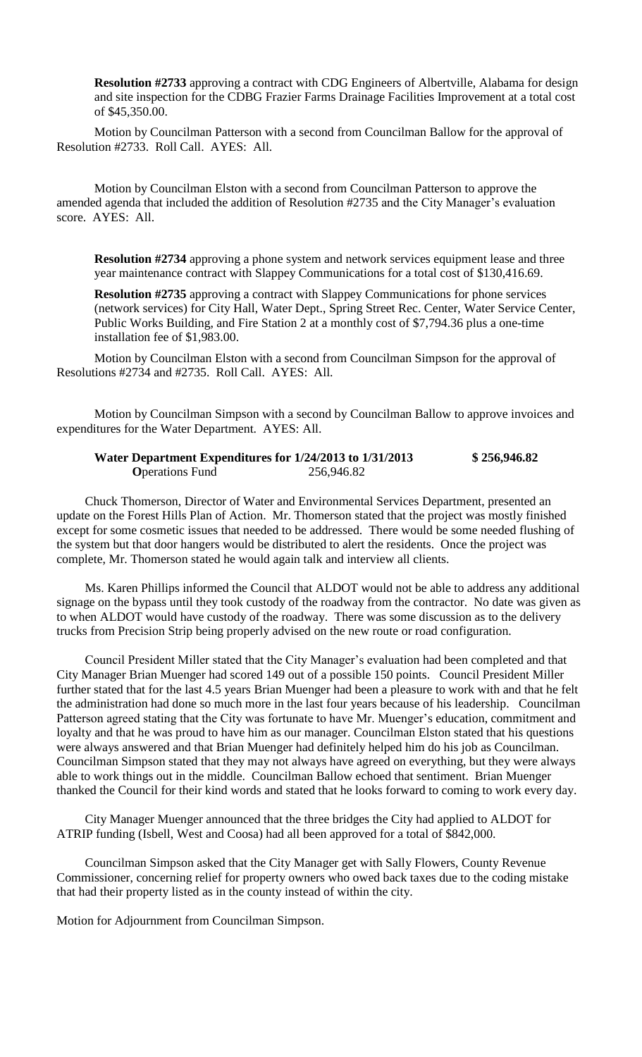**Resolution #2733** approving a contract with CDG Engineers of Albertville, Alabama for design and site inspection for the CDBG Frazier Farms Drainage Facilities Improvement at a total cost of \$45,350.00.

Motion by Councilman Patterson with a second from Councilman Ballow for the approval of Resolution #2733. Roll Call. AYES: All.

Motion by Councilman Elston with a second from Councilman Patterson to approve the amended agenda that included the addition of Resolution #2735 and the City Manager's evaluation score. AYES: All.

**Resolution #2734** approving a phone system and network services equipment lease and three year maintenance contract with Slappey Communications for a total cost of \$130,416.69.

**Resolution #2735** approving a contract with Slappey Communications for phone services (network services) for City Hall, Water Dept., Spring Street Rec. Center, Water Service Center, Public Works Building, and Fire Station 2 at a monthly cost of \$7,794.36 plus a one-time installation fee of \$1,983.00.

Motion by Councilman Elston with a second from Councilman Simpson for the approval of Resolutions #2734 and #2735. Roll Call. AYES: All.

Motion by Councilman Simpson with a second by Councilman Ballow to approve invoices and expenditures for the Water Department. AYES: All.

|                         | Water Department Expenditures for 1/24/2013 to 1/31/2013 | \$256,946.82 |
|-------------------------|----------------------------------------------------------|--------------|
| <b>O</b> perations Fund | 256,946.82                                               |              |

Chuck Thomerson, Director of Water and Environmental Services Department, presented an update on the Forest Hills Plan of Action. Mr. Thomerson stated that the project was mostly finished except for some cosmetic issues that needed to be addressed. There would be some needed flushing of the system but that door hangers would be distributed to alert the residents. Once the project was complete, Mr. Thomerson stated he would again talk and interview all clients.

Ms. Karen Phillips informed the Council that ALDOT would not be able to address any additional signage on the bypass until they took custody of the roadway from the contractor. No date was given as to when ALDOT would have custody of the roadway. There was some discussion as to the delivery trucks from Precision Strip being properly advised on the new route or road configuration.

Council President Miller stated that the City Manager's evaluation had been completed and that City Manager Brian Muenger had scored 149 out of a possible 150 points. Council President Miller further stated that for the last 4.5 years Brian Muenger had been a pleasure to work with and that he felt the administration had done so much more in the last four years because of his leadership. Councilman Patterson agreed stating that the City was fortunate to have Mr. Muenger's education, commitment and loyalty and that he was proud to have him as our manager. Councilman Elston stated that his questions were always answered and that Brian Muenger had definitely helped him do his job as Councilman. Councilman Simpson stated that they may not always have agreed on everything, but they were always able to work things out in the middle. Councilman Ballow echoed that sentiment. Brian Muenger thanked the Council for their kind words and stated that he looks forward to coming to work every day.

City Manager Muenger announced that the three bridges the City had applied to ALDOT for ATRIP funding (Isbell, West and Coosa) had all been approved for a total of \$842,000.

Councilman Simpson asked that the City Manager get with Sally Flowers, County Revenue Commissioner, concerning relief for property owners who owed back taxes due to the coding mistake that had their property listed as in the county instead of within the city.

Motion for Adjournment from Councilman Simpson.